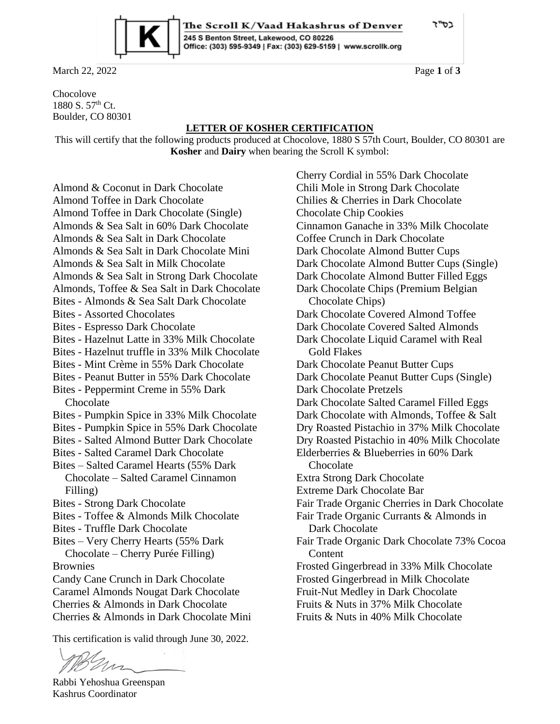בס"ד



March 22, 2022 **Page 1** of **3** 

Chocolove 1880 S. 57th Ct. Boulder, CO 80301

## **LETTER OF KOSHER CERTIFICATION**

The Scroll K/Vaad Hakashrus of Denver

Office: (303) 595-9349 | Fax: (303) 629-5159 | www.scrollk.org

245 S Benton Street, Lakewood, CO 80226

This will certify that the following products produced at Chocolove, 1880 S 57th Court, Boulder, CO 80301 are **Kosher** and **Dairy** when bearing the Scroll K symbol:

Almond & Coconut in Dark Chocolate Almond Toffee in Dark Chocolate Almond Toffee in Dark Chocolate (Single) Almonds & Sea Salt in 60% Dark Chocolate Almonds & Sea Salt in Dark Chocolate Almonds & Sea Salt in Dark Chocolate Mini Almonds & Sea Salt in Milk Chocolate Almonds & Sea Salt in Strong Dark Chocolate Almonds, Toffee & Sea Salt in Dark Chocolate Bites - Almonds & Sea Salt Dark Chocolate Bites - Assorted Chocolates Bites - Espresso Dark Chocolate Bites - Hazelnut Latte in 33% Milk Chocolate Bites - Hazelnut truffle in 33% Milk Chocolate Bites - Mint Crème in 55% Dark Chocolate Bites - Peanut Butter in 55% Dark Chocolate Bites - Peppermint Creme in 55% Dark Chocolate Bites - Pumpkin Spice in 33% Milk Chocolate Bites - Pumpkin Spice in 55% Dark Chocolate Bites - Salted Almond Butter Dark Chocolate Bites - Salted Caramel Dark Chocolate Bites – Salted Caramel Hearts (55% Dark Chocolate – Salted Caramel Cinnamon Filling) Bites - Strong Dark Chocolate Bites - Toffee & Almonds Milk Chocolate Bites - Truffle Dark Chocolate Bites – Very Cherry Hearts (55% Dark Chocolate – Cherry Purée Filling) Brownies Candy Cane Crunch in Dark Chocolate Caramel Almonds Nougat Dark Chocolate Cherries & Almonds in Dark Chocolate Cherries & Almonds in Dark Chocolate Mini

This certification is valid through June 30, 2022.

ns

Rabbi Yehoshua Greenspan Kashrus Coordinator

Cherry Cordial in 55% Dark Chocolate Chili Mole in Strong Dark Chocolate Chilies & Cherries in Dark Chocolate Chocolate Chip Cookies Cinnamon Ganache in 33% Milk Chocolate Coffee Crunch in Dark Chocolate Dark Chocolate Almond Butter Cups Dark Chocolate Almond Butter Cups (Single) Dark Chocolate Almond Butter Filled Eggs Dark Chocolate Chips (Premium Belgian Chocolate Chips) Dark Chocolate Covered Almond Toffee Dark Chocolate Covered Salted Almonds Dark Chocolate Liquid Caramel with Real Gold Flakes Dark Chocolate Peanut Butter Cups Dark Chocolate Peanut Butter Cups (Single) Dark Chocolate Pretzels Dark Chocolate Salted Caramel Filled Eggs Dark Chocolate with Almonds, Toffee & Salt Dry Roasted Pistachio in 37% Milk Chocolate Dry Roasted Pistachio in 40% Milk Chocolate Elderberries & Blueberries in 60% Dark Chocolate Extra Strong Dark Chocolate Extreme Dark Chocolate Bar Fair Trade Organic Cherries in Dark Chocolate Fair Trade Organic Currants & Almonds in Dark Chocolate Fair Trade Organic Dark Chocolate 73% Cocoa Content Frosted Gingerbread in 33% Milk Chocolate Frosted Gingerbread in Milk Chocolate Fruit-Nut Medley in Dark Chocolate Fruits & Nuts in 37% Milk Chocolate Fruits & Nuts in 40% Milk Chocolate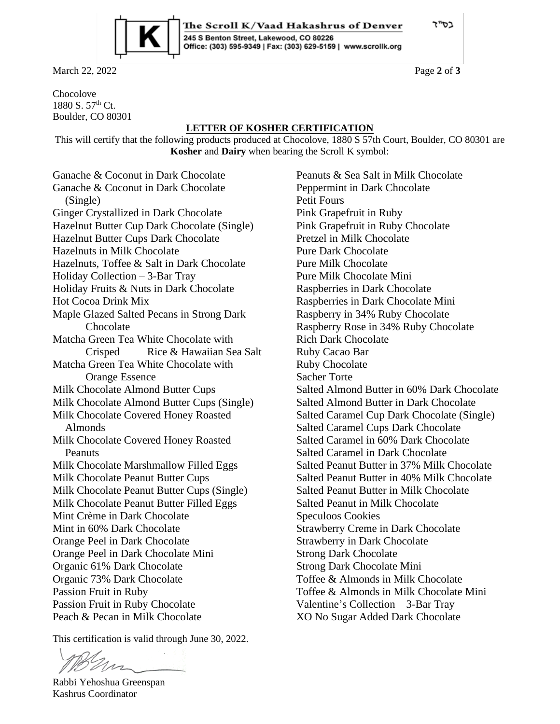כס"ד



March 22, 2022 **Page 2** of **3** 

Chocolove 1880 S. 57th Ct. Boulder, CO 80301

## **LETTER OF KOSHER CERTIFICATION**

The Scroll K/Vaad Hakashrus of Denver

Office: (303) 595-9349 | Fax: (303) 629-5159 | www.scrollk.org

245 S Benton Street, Lakewood, CO 80226

This will certify that the following products produced at Chocolove, 1880 S 57th Court, Boulder, CO 80301 are **Kosher** and **Dairy** when bearing the Scroll K symbol:

Ganache & Coconut in Dark Chocolate Ganache & Coconut in Dark Chocolate (Single) Ginger Crystallized in Dark Chocolate Hazelnut Butter Cup Dark Chocolate (Single) Hazelnut Butter Cups Dark Chocolate Hazelnuts in Milk Chocolate Hazelnuts, Toffee & Salt in Dark Chocolate Holiday Collection – 3-Bar Tray Holiday Fruits & Nuts in Dark Chocolate Hot Cocoa Drink Mix Maple Glazed Salted Pecans in Strong Dark Chocolate Matcha Green Tea White Chocolate with Crisped Rice & Hawaiian Sea Salt Matcha Green Tea White Chocolate with Orange Essence Milk Chocolate Almond Butter Cups Milk Chocolate Almond Butter Cups (Single) Milk Chocolate Covered Honey Roasted Almonds Milk Chocolate Covered Honey Roasted Peanuts Milk Chocolate Marshmallow Filled Eggs Milk Chocolate Peanut Butter Cups Milk Chocolate Peanut Butter Cups (Single) Milk Chocolate Peanut Butter Filled Eggs Mint Crème in Dark Chocolate Mint in 60% Dark Chocolate Orange Peel in Dark Chocolate Orange Peel in Dark Chocolate Mini Organic 61% Dark Chocolate Organic 73% Dark Chocolate Passion Fruit in Ruby Passion Fruit in Ruby Chocolate Peach & Pecan in Milk Chocolate

This certification is valid through June 30, 2022.

ns

Rabbi Yehoshua Greenspan Kashrus Coordinator

Peanuts & Sea Salt in Milk Chocolate Peppermint in Dark Chocolate Petit Fours Pink Grapefruit in Ruby Pink Grapefruit in Ruby Chocolate Pretzel in Milk Chocolate Pure Dark Chocolate Pure Milk Chocolate Pure Milk Chocolate Mini Raspberries in Dark Chocolate Raspberries in Dark Chocolate Mini Raspberry in 34% Ruby Chocolate Raspberry Rose in 34% Ruby Chocolate Rich Dark Chocolate Ruby Cacao Bar Ruby Chocolate Sacher Torte Salted Almond Butter in 60% Dark Chocolate Salted Almond Butter in Dark Chocolate Salted Caramel Cup Dark Chocolate (Single) Salted Caramel Cups Dark Chocolate Salted Caramel in 60% Dark Chocolate Salted Caramel in Dark Chocolate Salted Peanut Butter in 37% Milk Chocolate Salted Peanut Butter in 40% Milk Chocolate Salted Peanut Butter in Milk Chocolate Salted Peanut in Milk Chocolate Speculoos Cookies Strawberry Creme in Dark Chocolate Strawberry in Dark Chocolate Strong Dark Chocolate Strong Dark Chocolate Mini Toffee & Almonds in Milk Chocolate Toffee & Almonds in Milk Chocolate Mini Valentine's Collection – 3-Bar Tray XO No Sugar Added Dark Chocolate